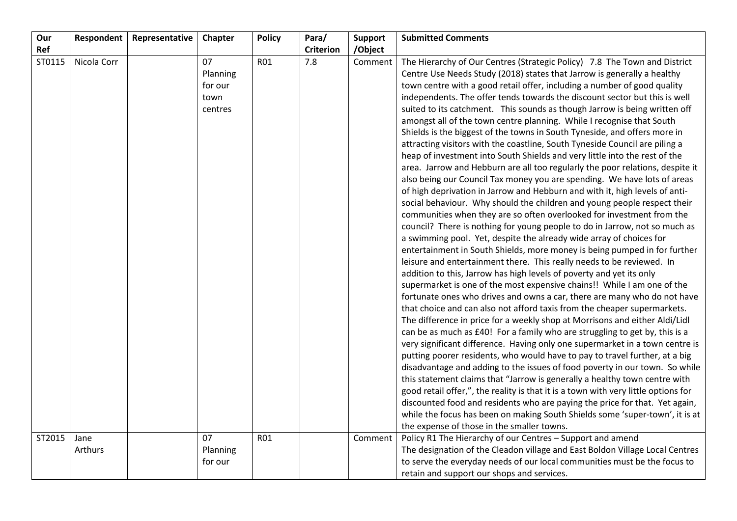| Our    | Respondent  | Representative | Chapter  | <b>Policy</b> | Para/            | <b>Support</b> | <b>Submitted Comments</b>                                                          |
|--------|-------------|----------------|----------|---------------|------------------|----------------|------------------------------------------------------------------------------------|
| Ref    |             |                |          |               | <b>Criterion</b> | /Object        |                                                                                    |
| ST0115 | Nicola Corr |                | 07       | R01           | 7.8              | Comment        | The Hierarchy of Our Centres (Strategic Policy) 7.8 The Town and District          |
|        |             |                | Planning |               |                  |                | Centre Use Needs Study (2018) states that Jarrow is generally a healthy            |
|        |             |                | for our  |               |                  |                | town centre with a good retail offer, including a number of good quality           |
|        |             |                | town     |               |                  |                | independents. The offer tends towards the discount sector but this is well         |
|        |             |                | centres  |               |                  |                | suited to its catchment. This sounds as though Jarrow is being written off         |
|        |             |                |          |               |                  |                | amongst all of the town centre planning. While I recognise that South              |
|        |             |                |          |               |                  |                | Shields is the biggest of the towns in South Tyneside, and offers more in          |
|        |             |                |          |               |                  |                | attracting visitors with the coastline, South Tyneside Council are piling a        |
|        |             |                |          |               |                  |                | heap of investment into South Shields and very little into the rest of the         |
|        |             |                |          |               |                  |                | area. Jarrow and Hebburn are all too regularly the poor relations, despite it      |
|        |             |                |          |               |                  |                | also being our Council Tax money you are spending. We have lots of areas           |
|        |             |                |          |               |                  |                | of high deprivation in Jarrow and Hebburn and with it, high levels of anti-        |
|        |             |                |          |               |                  |                | social behaviour. Why should the children and young people respect their           |
|        |             |                |          |               |                  |                | communities when they are so often overlooked for investment from the              |
|        |             |                |          |               |                  |                | council? There is nothing for young people to do in Jarrow, not so much as         |
|        |             |                |          |               |                  |                | a swimming pool. Yet, despite the already wide array of choices for                |
|        |             |                |          |               |                  |                | entertainment in South Shields, more money is being pumped in for further          |
|        |             |                |          |               |                  |                | leisure and entertainment there. This really needs to be reviewed. In              |
|        |             |                |          |               |                  |                | addition to this, Jarrow has high levels of poverty and yet its only               |
|        |             |                |          |               |                  |                | supermarket is one of the most expensive chains!! While I am one of the            |
|        |             |                |          |               |                  |                | fortunate ones who drives and owns a car, there are many who do not have           |
|        |             |                |          |               |                  |                | that choice and can also not afford taxis from the cheaper supermarkets.           |
|        |             |                |          |               |                  |                | The difference in price for a weekly shop at Morrisons and either Aldi/Lidl        |
|        |             |                |          |               |                  |                | can be as much as £40! For a family who are struggling to get by, this is a        |
|        |             |                |          |               |                  |                | very significant difference. Having only one supermarket in a town centre is       |
|        |             |                |          |               |                  |                | putting poorer residents, who would have to pay to travel further, at a big        |
|        |             |                |          |               |                  |                | disadvantage and adding to the issues of food poverty in our town. So while        |
|        |             |                |          |               |                  |                | this statement claims that "Jarrow is generally a healthy town centre with         |
|        |             |                |          |               |                  |                | good retail offer,", the reality is that it is a town with very little options for |
|        |             |                |          |               |                  |                | discounted food and residents who are paying the price for that. Yet again,        |
|        |             |                |          |               |                  |                | while the focus has been on making South Shields some 'super-town', it is at       |
|        |             |                |          |               |                  |                | the expense of those in the smaller towns.                                         |
| ST2015 | Jane        |                | 07       | R01           |                  | Comment        | Policy R1 The Hierarchy of our Centres - Support and amend                         |
|        | Arthurs     |                | Planning |               |                  |                | The designation of the Cleadon village and East Boldon Village Local Centres       |
|        |             |                | for our  |               |                  |                | to serve the everyday needs of our local communities must be the focus to          |
|        |             |                |          |               |                  |                | retain and support our shops and services.                                         |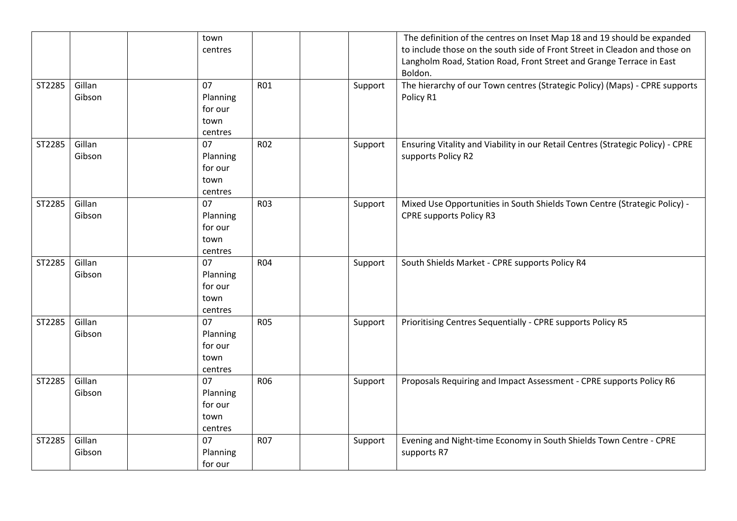|        |        | town                |            |         | The definition of the centres on Inset Map 18 and 19 should be expanded         |
|--------|--------|---------------------|------------|---------|---------------------------------------------------------------------------------|
|        |        | centres             |            |         | to include those on the south side of Front Street in Cleadon and those on      |
|        |        |                     |            |         | Langholm Road, Station Road, Front Street and Grange Terrace in East            |
|        |        |                     |            |         | Boldon.                                                                         |
| ST2285 | Gillan | 07                  | <b>R01</b> | Support | The hierarchy of our Town centres (Strategic Policy) (Maps) - CPRE supports     |
|        | Gibson | Planning            |            |         | Policy R1                                                                       |
|        |        | for our             |            |         |                                                                                 |
|        |        | town                |            |         |                                                                                 |
|        |        | centres             |            |         |                                                                                 |
| ST2285 | Gillan | 07                  | <b>R02</b> | Support | Ensuring Vitality and Viability in our Retail Centres (Strategic Policy) - CPRE |
|        | Gibson | Planning            |            |         | supports Policy R2                                                              |
|        |        | for our             |            |         |                                                                                 |
|        |        | town                |            |         |                                                                                 |
|        |        | centres             |            |         |                                                                                 |
| ST2285 | Gillan | 07                  | <b>R03</b> | Support | Mixed Use Opportunities in South Shields Town Centre (Strategic Policy) -       |
|        | Gibson |                     |            |         | <b>CPRE supports Policy R3</b>                                                  |
|        |        | Planning<br>for our |            |         |                                                                                 |
|        |        |                     |            |         |                                                                                 |
|        |        | town                |            |         |                                                                                 |
|        | Gillan | centres<br>07       |            |         |                                                                                 |
| ST2285 |        |                     | <b>R04</b> | Support | South Shields Market - CPRE supports Policy R4                                  |
|        | Gibson | Planning            |            |         |                                                                                 |
|        |        | for our             |            |         |                                                                                 |
|        |        | town                |            |         |                                                                                 |
|        |        | centres             |            |         |                                                                                 |
| ST2285 | Gillan | 07                  | <b>R05</b> | Support | Prioritising Centres Sequentially - CPRE supports Policy R5                     |
|        | Gibson | Planning            |            |         |                                                                                 |
|        |        | for our             |            |         |                                                                                 |
|        |        | town                |            |         |                                                                                 |
|        |        | centres             |            |         |                                                                                 |
| ST2285 | Gillan | 07                  | <b>R06</b> | Support | Proposals Requiring and Impact Assessment - CPRE supports Policy R6             |
|        | Gibson | Planning            |            |         |                                                                                 |
|        |        | for our             |            |         |                                                                                 |
|        |        | town                |            |         |                                                                                 |
|        |        | centres             |            |         |                                                                                 |
| ST2285 | Gillan | 07                  | <b>R07</b> | Support | Evening and Night-time Economy in South Shields Town Centre - CPRE              |
|        | Gibson | Planning            |            |         | supports R7                                                                     |
|        |        | for our             |            |         |                                                                                 |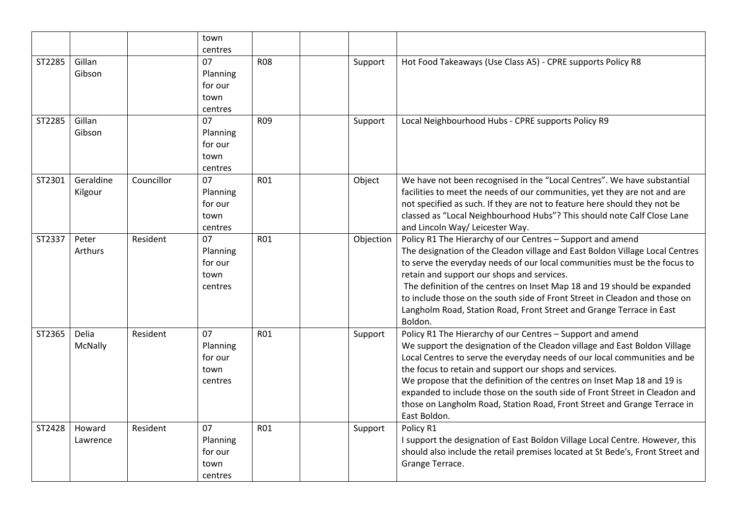|        |                      |            | town<br>centres                              |                 |           |                                                                                                                                                                                                                                                                                                                                                                                                                                                                                                                                      |
|--------|----------------------|------------|----------------------------------------------|-----------------|-----------|--------------------------------------------------------------------------------------------------------------------------------------------------------------------------------------------------------------------------------------------------------------------------------------------------------------------------------------------------------------------------------------------------------------------------------------------------------------------------------------------------------------------------------------|
| ST2285 | Gillan<br>Gibson     |            | 07<br>Planning<br>for our<br>town<br>centres | <b>R08</b>      | Support   | Hot Food Takeaways (Use Class A5) - CPRE supports Policy R8                                                                                                                                                                                                                                                                                                                                                                                                                                                                          |
| ST2285 | Gillan<br>Gibson     |            | 07<br>Planning<br>for our<br>town<br>centres | R <sub>09</sub> | Support   | Local Neighbourhood Hubs - CPRE supports Policy R9                                                                                                                                                                                                                                                                                                                                                                                                                                                                                   |
| ST2301 | Geraldine<br>Kilgour | Councillor | 07<br>Planning<br>for our<br>town<br>centres | <b>R01</b>      | Object    | We have not been recognised in the "Local Centres". We have substantial<br>facilities to meet the needs of our communities, yet they are not and are<br>not specified as such. If they are not to feature here should they not be<br>classed as "Local Neighbourhood Hubs"? This should note Calf Close Lane<br>and Lincoln Way/ Leicester Way.                                                                                                                                                                                      |
| ST2337 | Peter<br>Arthurs     | Resident   | 07<br>Planning<br>for our<br>town<br>centres | R01             | Objection | Policy R1 The Hierarchy of our Centres - Support and amend<br>The designation of the Cleadon village and East Boldon Village Local Centres<br>to serve the everyday needs of our local communities must be the focus to<br>retain and support our shops and services.<br>The definition of the centres on Inset Map 18 and 19 should be expanded<br>to include those on the south side of Front Street in Cleadon and those on<br>Langholm Road, Station Road, Front Street and Grange Terrace in East<br>Boldon.                    |
| ST2365 | Delia<br>McNally     | Resident   | 07<br>Planning<br>for our<br>town<br>centres | R01             | Support   | Policy R1 The Hierarchy of our Centres - Support and amend<br>We support the designation of the Cleadon village and East Boldon Village<br>Local Centres to serve the everyday needs of our local communities and be<br>the focus to retain and support our shops and services.<br>We propose that the definition of the centres on Inset Map 18 and 19 is<br>expanded to include those on the south side of Front Street in Cleadon and<br>those on Langholm Road, Station Road, Front Street and Grange Terrace in<br>East Boldon. |
| ST2428 | Howard<br>Lawrence   | Resident   | 07<br>Planning<br>for our<br>town<br>centres | <b>R01</b>      | Support   | Policy R1<br>I support the designation of East Boldon Village Local Centre. However, this<br>should also include the retail premises located at St Bede's, Front Street and<br>Grange Terrace.                                                                                                                                                                                                                                                                                                                                       |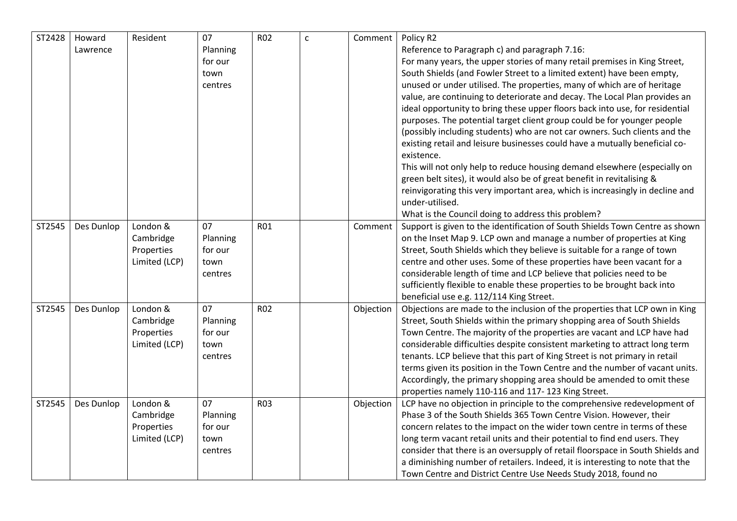| ST2428 | Howard<br>Lawrence | Resident                                             | 07<br>Planning<br>for our<br>town<br>centres | <b>R02</b> | $\mathsf{c}$ | Comment   | Policy R2<br>Reference to Paragraph c) and paragraph 7.16:<br>For many years, the upper stories of many retail premises in King Street,<br>South Shields (and Fowler Street to a limited extent) have been empty,<br>unused or under utilised. The properties, many of which are of heritage<br>value, are continuing to deteriorate and decay. The Local Plan provides an<br>ideal opportunity to bring these upper floors back into use, for residential<br>purposes. The potential target client group could be for younger people<br>(possibly including students) who are not car owners. Such clients and the<br>existing retail and leisure businesses could have a mutually beneficial co-<br>existence.<br>This will not only help to reduce housing demand elsewhere (especially on<br>green belt sites), it would also be of great benefit in revitalising & |
|--------|--------------------|------------------------------------------------------|----------------------------------------------|------------|--------------|-----------|-------------------------------------------------------------------------------------------------------------------------------------------------------------------------------------------------------------------------------------------------------------------------------------------------------------------------------------------------------------------------------------------------------------------------------------------------------------------------------------------------------------------------------------------------------------------------------------------------------------------------------------------------------------------------------------------------------------------------------------------------------------------------------------------------------------------------------------------------------------------------|
|        |                    |                                                      |                                              |            |              |           | reinvigorating this very important area, which is increasingly in decline and<br>under-utilised.<br>What is the Council doing to address this problem?                                                                                                                                                                                                                                                                                                                                                                                                                                                                                                                                                                                                                                                                                                                  |
| ST2545 | Des Dunlop         | London &<br>Cambridge<br>Properties<br>Limited (LCP) | 07<br>Planning<br>for our<br>town<br>centres | <b>R01</b> |              | Comment   | Support is given to the identification of South Shields Town Centre as shown<br>on the Inset Map 9. LCP own and manage a number of properties at King<br>Street, South Shields which they believe is suitable for a range of town<br>centre and other uses. Some of these properties have been vacant for a<br>considerable length of time and LCP believe that policies need to be<br>sufficiently flexible to enable these properties to be brought back into<br>beneficial use e.g. 112/114 King Street.                                                                                                                                                                                                                                                                                                                                                             |
| ST2545 | Des Dunlop         | London &<br>Cambridge<br>Properties<br>Limited (LCP) | 07<br>Planning<br>for our<br>town<br>centres | <b>R02</b> |              | Objection | Objections are made to the inclusion of the properties that LCP own in King<br>Street, South Shields within the primary shopping area of South Shields<br>Town Centre. The majority of the properties are vacant and LCP have had<br>considerable difficulties despite consistent marketing to attract long term<br>tenants. LCP believe that this part of King Street is not primary in retail<br>terms given its position in the Town Centre and the number of vacant units.<br>Accordingly, the primary shopping area should be amended to omit these<br>properties namely 110-116 and 117-123 King Street.                                                                                                                                                                                                                                                          |
| ST2545 | Des Dunlop         | London &<br>Cambridge<br>Properties<br>Limited (LCP) | 07<br>Planning<br>for our<br>town<br>centres | <b>R03</b> |              | Objection | LCP have no objection in principle to the comprehensive redevelopment of<br>Phase 3 of the South Shields 365 Town Centre Vision. However, their<br>concern relates to the impact on the wider town centre in terms of these<br>long term vacant retail units and their potential to find end users. They<br>consider that there is an oversupply of retail floorspace in South Shields and<br>a diminishing number of retailers. Indeed, it is interesting to note that the<br>Town Centre and District Centre Use Needs Study 2018, found no                                                                                                                                                                                                                                                                                                                           |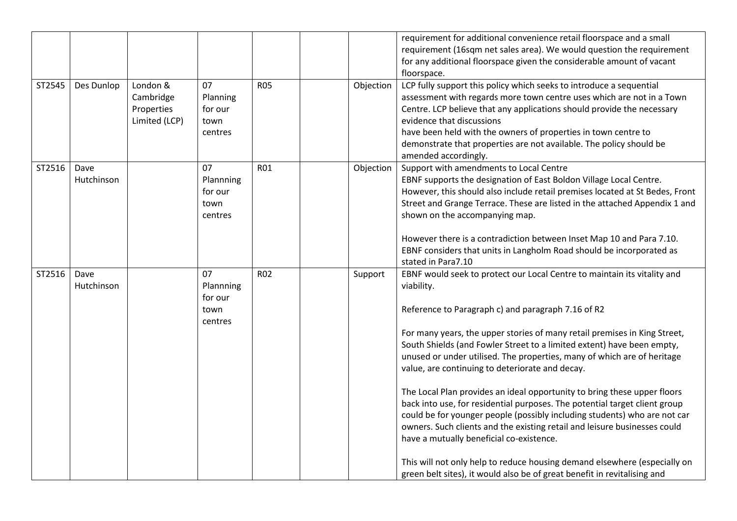|        |                    |                                                      |                                               |            |           | requirement for additional convenience retail floorspace and a small<br>requirement (16sqm net sales area). We would question the requirement<br>for any additional floorspace given the considerable amount of vacant<br>floorspace.                                                                                                                                                                                                                                                                                                                                                                                                                                                                                                                                                                                                                                                                                                                      |
|--------|--------------------|------------------------------------------------------|-----------------------------------------------|------------|-----------|------------------------------------------------------------------------------------------------------------------------------------------------------------------------------------------------------------------------------------------------------------------------------------------------------------------------------------------------------------------------------------------------------------------------------------------------------------------------------------------------------------------------------------------------------------------------------------------------------------------------------------------------------------------------------------------------------------------------------------------------------------------------------------------------------------------------------------------------------------------------------------------------------------------------------------------------------------|
| ST2545 | Des Dunlop         | London &<br>Cambridge<br>Properties<br>Limited (LCP) | 07<br>Planning<br>for our<br>town<br>centres  | <b>R05</b> | Objection | LCP fully support this policy which seeks to introduce a sequential<br>assessment with regards more town centre uses which are not in a Town<br>Centre. LCP believe that any applications should provide the necessary<br>evidence that discussions<br>have been held with the owners of properties in town centre to<br>demonstrate that properties are not available. The policy should be<br>amended accordingly.                                                                                                                                                                                                                                                                                                                                                                                                                                                                                                                                       |
| ST2516 | Dave<br>Hutchinson |                                                      | 07<br>Plannning<br>for our<br>town<br>centres | <b>R01</b> | Objection | Support with amendments to Local Centre<br>EBNF supports the designation of East Boldon Village Local Centre.<br>However, this should also include retail premises located at St Bedes, Front<br>Street and Grange Terrace. These are listed in the attached Appendix 1 and<br>shown on the accompanying map.<br>However there is a contradiction between Inset Map 10 and Para 7.10.<br>EBNF considers that units in Langholm Road should be incorporated as<br>stated in Para7.10                                                                                                                                                                                                                                                                                                                                                                                                                                                                        |
| ST2516 | Dave<br>Hutchinson |                                                      | 07<br>Plannning<br>for our<br>town<br>centres | <b>R02</b> | Support   | EBNF would seek to protect our Local Centre to maintain its vitality and<br>viability.<br>Reference to Paragraph c) and paragraph 7.16 of R2<br>For many years, the upper stories of many retail premises in King Street,<br>South Shields (and Fowler Street to a limited extent) have been empty,<br>unused or under utilised. The properties, many of which are of heritage<br>value, are continuing to deteriorate and decay.<br>The Local Plan provides an ideal opportunity to bring these upper floors<br>back into use, for residential purposes. The potential target client group<br>could be for younger people (possibly including students) who are not car<br>owners. Such clients and the existing retail and leisure businesses could<br>have a mutually beneficial co-existence.<br>This will not only help to reduce housing demand elsewhere (especially on<br>green belt sites), it would also be of great benefit in revitalising and |